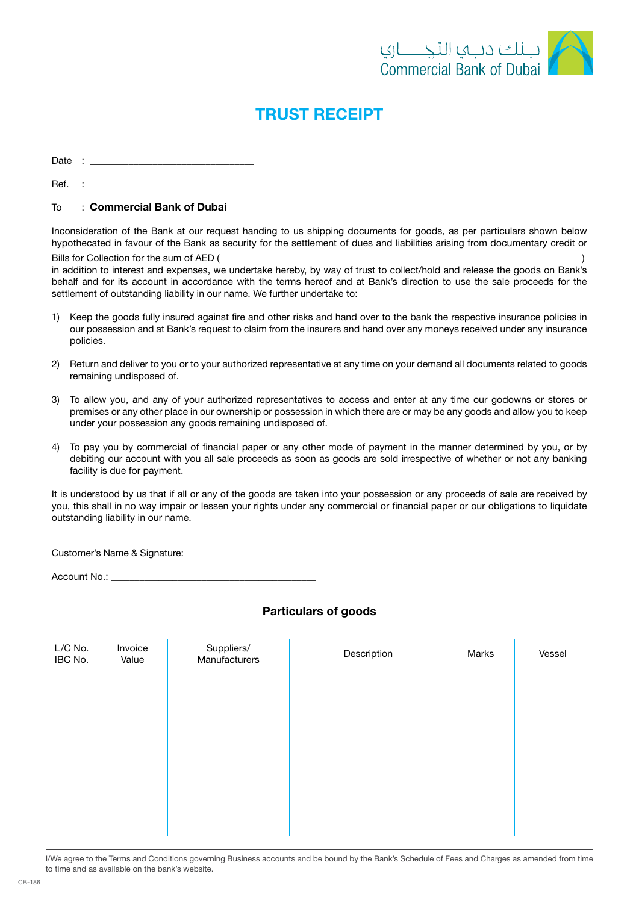

## TRUST RECEIPT

 $Date$  :

 $R_{\mathsf{P}}f$   $\cdot$ 

## To : Commercial Bank of Dubai

Inconsideration of the Bank at our request handing to us shipping documents for goods, as per particulars shown below hypothecated in favour of the Bank as security for the settlement of dues and liabilities arising from documentary credit or Bills for Collection for the sum of AED (

in addition to interest and expenses, we undertake hereby, by way of trust to collect/hold and release the goods on Bank's behalf and for its account in accordance with the terms hereof and at Bank's direction to use the sale proceeds for the settlement of outstanding liability in our name. We further undertake to:

- 1) Keep the goods fully insured against fire and other risks and hand over to the bank the respective insurance policies in our possession and at Bank's request to claim from the insurers and hand over any moneys received under any insurance policies.
- 2) Return and deliver to you or to your authorized representative at any time on your demand all documents related to goods remaining undisposed of.
- 3) To allow you, and any of your authorized representatives to access and enter at any time our godowns or stores or premises or any other place in our ownership or possession in which there are or may be any goods and allow you to keep under your possession any goods remaining undisposed of.
- 4) To pay you by commercial of financial paper or any other mode of payment in the manner determined by you, or by debiting our account with you all sale proceeds as soon as goods are sold irrespective of whether or not any banking facility is due for payment.

It is understood by us that if all or any of the goods are taken into your possession or any proceeds of sale are received by you, this shall in no way impair or lessen your rights under any commercial or financial paper or our obligations to liquidate outstanding liability in our name.

Customer's Name & Signature:  $\Box$ 

Account No.:

## Particulars of goods

|  |  | Vessel |
|--|--|--------|
|  |  |        |
|  |  |        |
|  |  |        |
|  |  |        |
|  |  |        |

I/We agree to the Terms and Conditions governing Business accounts and be bound by the Bank's Schedule of Fees and Charges as amended from time to time and as available on the bank's website.